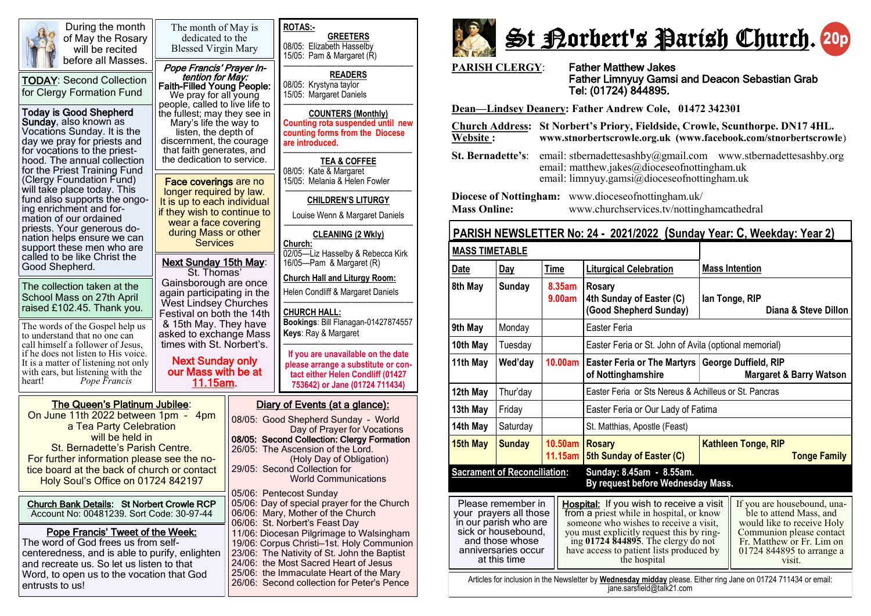

During the month of May the Rosary will be recited before all Masses.

TODAY: Second Collection for Clergy Formation Fund

### Today is Good Shepherd

Sunday, also known as Vocations Sunday. It is the day we pray for priests and for vocations to the priesthood. The annual collection for the Priest Training Fund (Clergy Foundation Fund) will take place today. This fund also supports the ongoing enrichment and formation of our ordained priests. Your generous donation helps ensure we can support these men who are called to be like Christ the Good Shepherd.

The collection taken at the School Mass on 27th April raised £102.45. Thank you.

The words of the Gospel help us to understand that no one can call himself a follower of Jesus, if he does not listen to His voice. It is a matter of listening not only with ears, but listening with the heart! *Pope Francis* 

The Queen's Platinum Jubilee: On June 11th 2022 between 1pm - 4pm a Tea Party Celebration will be held in St. Bernadette's Parish Centre. For further information please see the notice board at the back of church or contact Holy Soul's Office on 01724 842197

Church Bank Details: St Norbert Crowle RCP Account No: 00481239. Sort Code: 30-97-44

Pope Francis' Tweet of the Week:

The word of God frees us from selfcenteredness, and is able to purify, enlighten and recreate us. So let us listen to that Word, to open us to the vocation that God entrusts to us!



26/06: Second collection for Peter's Pence

St Borbert's Parish Church. 20p

**PARISH CLERGY**: Father Matthew Jakes

# Father Limnyuy Gamsi and Deacon Sebastian Grab Tel: (01724) 844895.

**Dean—Lindsey Deanery: Father Andrew Cole, 01472 342301** 

**Church Address: St Norbert's Priory, Fieldside, Crowle, Scunthorpe. DN17 4HL. Website : www.stnorbertscrowle.org.uk (www.facebook.com/stnorbertscrowle**) **St. Bernadette's**: email: stbernadettesashby@gmail.com [www.stbernadettesashby.org](http://www.stbernadettesashby.org/)  email: matthew.jakes@dioceseofnottingham.uk email: limnyuy.gamsi@dioceseofnottingham.uk **Diocese of Nottingham:** www.dioceseofnottingham.uk/ **Mass Online:** www.churchservices.tv/nottinghamcathedral

## **PARISH NEWSLETTER No: 24 - 2021/2022 (Sunday Year: C, Weekday: Year 2)**

| <b>MASS TIMETABLE</b>                                                                                                                                  |               |                    |                                                                                                                                                                                                                                                                                |                                                                                                                                                                                      |  |  |  |  |  |
|--------------------------------------------------------------------------------------------------------------------------------------------------------|---------------|--------------------|--------------------------------------------------------------------------------------------------------------------------------------------------------------------------------------------------------------------------------------------------------------------------------|--------------------------------------------------------------------------------------------------------------------------------------------------------------------------------------|--|--|--|--|--|
| Date                                                                                                                                                   | Day           | <b>Time</b>        | <b>Liturgical Celebration</b>                                                                                                                                                                                                                                                  | <b>Mass Intention</b>                                                                                                                                                                |  |  |  |  |  |
| 8th May                                                                                                                                                | <b>Sunday</b> | 8.35am<br>9.00am   | Rosary<br>4th Sunday of Easter (C)<br>(Good Shepherd Sunday)                                                                                                                                                                                                                   | lan Tonge, RIP<br>Diana & Steve Dillon                                                                                                                                               |  |  |  |  |  |
| 9th May                                                                                                                                                | Monday        |                    | Easter Feria                                                                                                                                                                                                                                                                   |                                                                                                                                                                                      |  |  |  |  |  |
| 10th May                                                                                                                                               | Tuesday       |                    | Easter Feria or St. John of Avila (optional memorial)                                                                                                                                                                                                                          |                                                                                                                                                                                      |  |  |  |  |  |
| 11th May                                                                                                                                               | Wed'day       | 10.00am            | Easter Feria or The Martyrs<br>of Nottinghamshire                                                                                                                                                                                                                              | George Duffield, RIP<br><b>Margaret &amp; Barry Watson</b>                                                                                                                           |  |  |  |  |  |
| 12th May                                                                                                                                               | Thur'day      |                    | Easter Feria or Sts Nereus & Achilleus or St. Pancras                                                                                                                                                                                                                          |                                                                                                                                                                                      |  |  |  |  |  |
| 13th May                                                                                                                                               | Friday        |                    | Easter Feria or Our Lady of Fatima                                                                                                                                                                                                                                             |                                                                                                                                                                                      |  |  |  |  |  |
| 14th May                                                                                                                                               | Saturday      |                    | St. Matthias, Apostle (Feast)                                                                                                                                                                                                                                                  |                                                                                                                                                                                      |  |  |  |  |  |
| 15th May                                                                                                                                               | <b>Sunday</b> | 10.50am<br>11.15am | <b>Rosary</b><br>5th Sunday of Easter (C)                                                                                                                                                                                                                                      | <b>Kathleen Tonge, RIP</b><br><b>Tonge Family</b>                                                                                                                                    |  |  |  |  |  |
| <b>Sacrament of Reconciliation:</b><br>Sunday: 8.45am - 8.55am.<br>By request before Wednesday Mass.                                                   |               |                    |                                                                                                                                                                                                                                                                                |                                                                                                                                                                                      |  |  |  |  |  |
| Please remember in<br>your prayers all those<br>in our parish who are<br>sick or housebound,<br>and those whose<br>anniversaries occur<br>at this time |               |                    | Hospital: If you wish to receive a visit<br>from a priest while in hospital, or know<br>someone who wishes to receive a visit.<br>you must explicitly request this by ring-<br>ing 01724 844895. The clergy do not<br>have access to patient lists produced by<br>the hospital | If you are housebound, una-<br>ble to attend Mass, and<br>would like to receive Holy<br>Communion please contact<br>Fr. Matthew or Fr. Lim on<br>01724 844895 to arrange a<br>visit. |  |  |  |  |  |
| Articles for inclusion in the Newsletter by <b>Wednesday midday</b> please. Either ring Jane on 01724 711434 or email:<br>jane.sarsfield@talk21.com    |               |                    |                                                                                                                                                                                                                                                                                |                                                                                                                                                                                      |  |  |  |  |  |